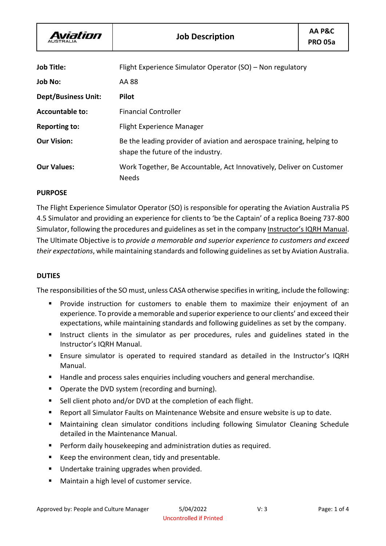| <b>Job Title:</b>          | Flight Experience Simulator Operator (SO) - Non regulatory                                                  |
|----------------------------|-------------------------------------------------------------------------------------------------------------|
| <b>Job No:</b>             | AA 88                                                                                                       |
| <b>Dept/Business Unit:</b> | <b>Pilot</b>                                                                                                |
| <b>Accountable to:</b>     | <b>Financial Controller</b>                                                                                 |
| <b>Reporting to:</b>       | <b>Flight Experience Manager</b>                                                                            |
| <b>Our Vision:</b>         | Be the leading provider of aviation and aerospace training, helping to<br>shape the future of the industry. |
| <b>Our Values:</b>         | Work Together, Be Accountable, Act Innovatively, Deliver on Customer<br><b>Needs</b>                        |

# **PURPOSE**

The Flight Experience Simulator Operator (SO) is responsible for operating the Aviation Australia PS 4.5 Simulator and providing an experience for clients to 'be the Captain' of a replica Boeing 737-800 Simulator, following the procedures and guidelines as set in the company Instructor's IQRH Manual. The Ultimate Objective is to *provide a memorable and superior experience to customers and exceed their expectations*, while maintaining standards and following guidelines as set by Aviation Australia.

#### **DUTIES**

The responsibilities of the SO must, unless CASA otherwise specifies in writing, include the following:

- Provide instruction for customers to enable them to maximize their enjoyment of an experience. To provide a memorable and superior experience to our clients' and exceed their expectations, while maintaining standards and following guidelines as set by the company.
- Instruct clients in the simulator as per procedures, rules and guidelines stated in the Instructor's IQRH Manual.
- Ensure simulator is operated to required standard as detailed in the Instructor's IQRH Manual.
- Handle and process sales enquiries including vouchers and general merchandise.
- Operate the DVD system (recording and burning).
- Sell client photo and/or DVD at the completion of each flight.
- Report all Simulator Faults on Maintenance Website and ensure website is up to date.
- Maintaining clean simulator conditions including following Simulator Cleaning Schedule detailed in the Maintenance Manual.
- Perform daily housekeeping and administration duties as required.
- Keep the environment clean, tidy and presentable.
- Undertake training upgrades when provided.
- Maintain a high level of customer service.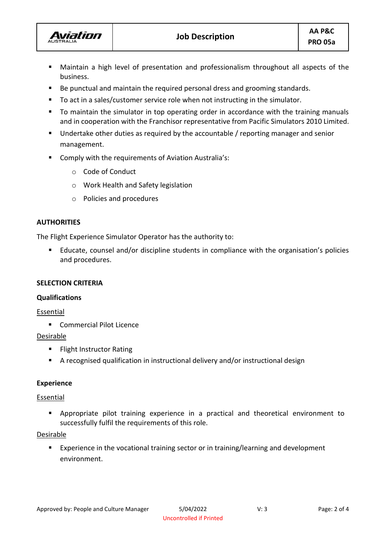

- Maintain a high level of presentation and professionalism throughout all aspects of the business.
- Be punctual and maintain the required personal dress and grooming standards.
- To act in a sales/customer service role when not instructing in the simulator.
- To maintain the simulator in top operating order in accordance with the training manuals and in cooperation with the Franchisor representative from Pacific Simulators 2010 Limited.
- Undertake other duties as required by the accountable / reporting manager and senior management.
- Comply with the requirements of Aviation Australia's:
	- o Code of Conduct
	- o Work Health and Safety legislation
	- o Policies and procedures

# **AUTHORITIES**

**Aviation** 

The Flight Experience Simulator Operator has the authority to:

■ Educate, counsel and/or discipline students in compliance with the organisation's policies and procedures.

# **SELECTION CRITERIA**

# **Qualifications**

Essential

■ Commercial Pilot Licence

# **Desirable**

- Flight Instructor Rating
- A recognised qualification in instructional delivery and/or instructional design

# **Experience**

# Essential

▪ Appropriate pilot training experience in a practical and theoretical environment to successfully fulfil the requirements of this role.

# Desirable

■ Experience in the vocational training sector or in training/learning and development environment.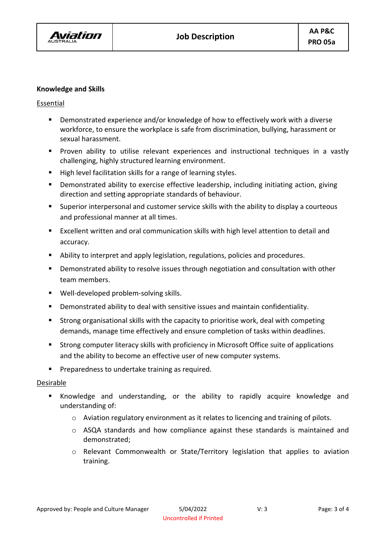

#### **Knowledge and Skills**

# Essential

- Demonstrated experience and/or knowledge of how to effectively work with a diverse workforce, to ensure the workplace is safe from discrimination, bullying, harassment or sexual harassment.
- Proven ability to utilise relevant experiences and instructional techniques in a vastly challenging, highly structured learning environment.
- High level facilitation skills for a range of learning styles.
- Demonstrated ability to exercise effective leadership, including initiating action, giving direction and setting appropriate standards of behaviour.
- Superior interpersonal and customer service skills with the ability to display a courteous and professional manner at all times.
- Excellent written and oral communication skills with high level attention to detail and accuracy.
- Ability to interpret and apply legislation, regulations, policies and procedures.
- Demonstrated ability to resolve issues through negotiation and consultation with other team members.
- Well-developed problem-solving skills.
- Demonstrated ability to deal with sensitive issues and maintain confidentiality.
- Strong organisational skills with the capacity to prioritise work, deal with competing demands, manage time effectively and ensure completion of tasks within deadlines.
- Strong computer literacy skills with proficiency in Microsoft Office suite of applications and the ability to become an effective user of new computer systems.
- Preparedness to undertake training as required.

#### Desirable

- Knowledge and understanding, or the ability to rapidly acquire knowledge and understanding of:
	- o Aviation regulatory environment as it relates to licencing and training of pilots.
	- $\circ$  ASQA standards and how compliance against these standards is maintained and demonstrated;
	- o Relevant Commonwealth or State/Territory legislation that applies to aviation training.